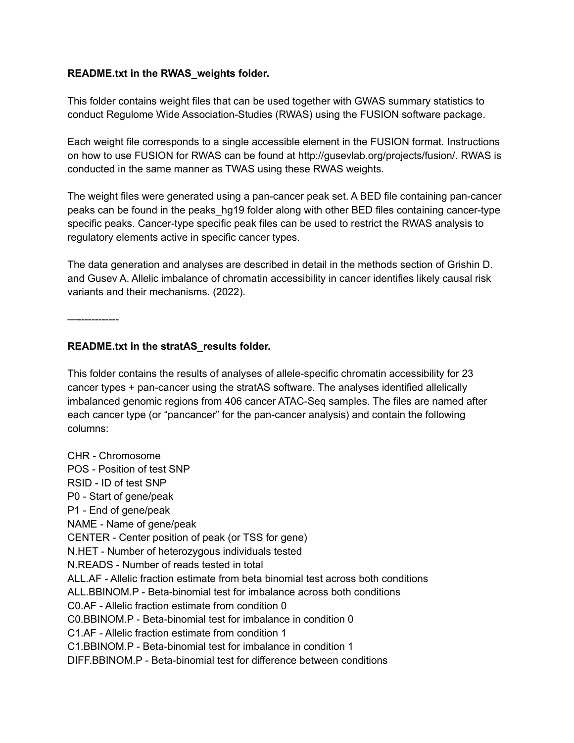## **README.txt in the RWAS\_weights folder.**

This folder contains weight files that can be used together with GWAS summary statistics to conduct Regulome Wide Association-Studies (RWAS) using the FUSION software package.

Each weight file corresponds to a single accessible element in the FUSION format. Instructions on how to use FUSION for RWAS can be found at http://gusevlab.org/projects/fusion/. RWAS is conducted in the same manner as TWAS using these RWAS weights.

The weight files were generated using a pan-cancer peak set. A BED file containing pan-cancer peaks can be found in the peaks\_hg19 folder along with other BED files containing cancer-type specific peaks. Cancer-type specific peak files can be used to restrict the RWAS analysis to regulatory elements active in specific cancer types.

The data generation and analyses are described in detail in the methods section of Grishin D. and Gusev A. Allelic imbalance of chromatin accessibility in cancer identifies likely causal risk variants and their mechanisms. (2022).

—------------

## **README.txt in the stratAS\_results folder.**

This folder contains the results of analyses of allele-specific chromatin accessibility for 23 cancer types + pan-cancer using the stratAS software. The analyses identified allelically imbalanced genomic regions from 406 cancer ATAC-Seq samples. The files are named after each cancer type (or "pancancer" for the pan-cancer analysis) and contain the following columns:

CHR - Chromosome POS - Position of test SNP RSID - ID of test SNP P0 - Start of gene/peak P1 - End of gene/peak NAME - Name of gene/peak CENTER - Center position of peak (or TSS for gene) N.HET - Number of heterozygous individuals tested N.READS - Number of reads tested in total ALL.AF - Allelic fraction estimate from beta binomial test across both conditions ALL.BBINOM.P - Beta-binomial test for imbalance across both conditions C0.AF - Allelic fraction estimate from condition 0 C0.BBINOM.P - Beta-binomial test for imbalance in condition 0 C1.AF - Allelic fraction estimate from condition 1 C1.BBINOM.P - Beta-binomial test for imbalance in condition 1 DIFF.BBINOM.P - Beta-binomial test for difference between conditions